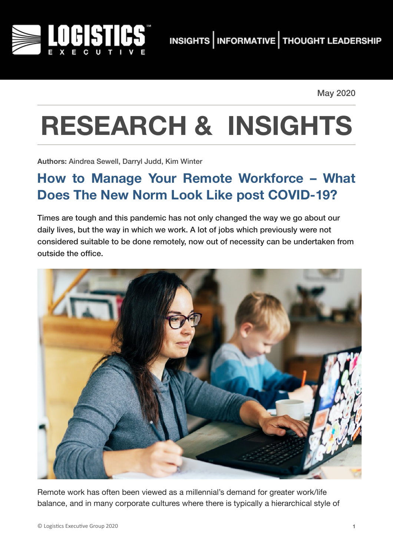

May 2020

## **RESEARCH & INSIGHTS**

**Authors:** Aindrea Sewell, Darryl Judd, Kim Winter

## **How to Manage Your Remote Workforce – What Does The New Norm Look Like post COVID-19?**

Times are tough and this pandemic has not only changed the way we go about our daily lives, but the way in which we work. A lot of jobs which previously were not considered suitable to be done remotely, now out of necessity can be undertaken from outside the office.



Remote work has often been viewed as a millennial's demand for greater work/life balance, and in many corporate cultures where there is typically a hierarchical style of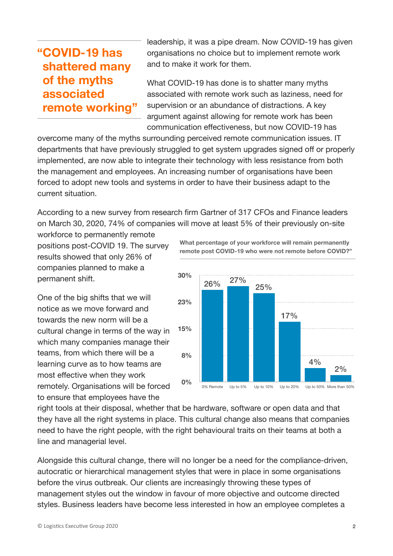## **"COVID-19 has shattered many of the myths associated remote working"**

leadership, it was a pipe dream. Now COVID-19 has given organisations no choice but to implement remote work and to make it work for them.

What COVID-19 has done is to shatter many myths associated with remote work such as laziness, need for supervision or an abundance of distractions. A key argument against allowing for remote work has been communication effectiveness, but now COVID-19 has

overcome many of the myths surrounding perceived remote communication issues. IT departments that have previously struggled to get system upgrades signed off or properly implemented, are now able to integrate their technology with less resistance from both the management and employees. An increasing number of organisations have been forced to adopt new tools and systems in order to have their business adapt to the current situation.

According to a new survey from research firm Gartner of 317 CFOs and Finance leaders on March 30, 2020, 74% of companies will move at least 5% of their previously on-site

workforce to permanently remote positions post-COVID 19. The survey results showed that only 26% of companies planned to make a permanent shift.

One of the big shifts that we will notice as we move forward and towards the new norm will be a cultural change in terms of the way in which many companies manage their teams, from which there will be a learning curve as to how teams are most effective when they work remotely. Organisations will be forced to ensure that employees have the

**8% 15% 23% 30%** 2% 4% 17% 25% 26% 27%

**0%** 0% Remote Up to 5% Up to 10% Up to 20% Up to 50% More than 50%

right tools at their disposal, whether that be hardware, software or open data and that they have all the right systems in place. This cultural change also means that companies need to have the right people, with the right behavioural traits on their teams at both a line and managerial level.

Alongside this cultural change, there will no longer be a need for the compliance-driven, autocratic or hierarchical management styles that were in place in some organisations before the virus outbreak. Our clients are increasingly throwing these types of management styles out the window in favour of more objective and outcome directed styles. Business leaders have become less interested in how an employee completes a

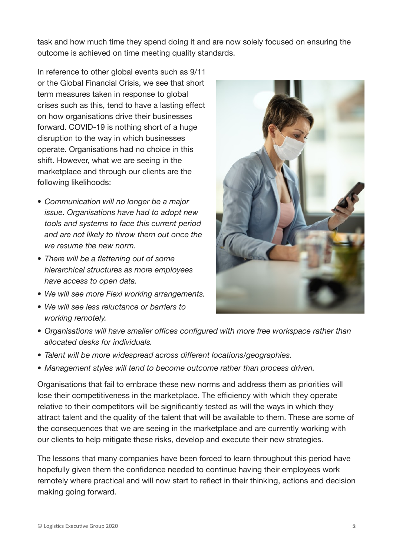task and how much time they spend doing it and are now solely focused on ensuring the outcome is achieved on time meeting quality standards.

In reference to other global events such as 9/11 or the Global Financial Crisis, we see that short term measures taken in response to global crises such as this, tend to have a lasting effect on how organisations drive their businesses forward. COVID-19 is nothing short of a huge disruption to the way in which businesses operate. Organisations had no choice in this shift. However, what we are seeing in the marketplace and through our clients are the following likelihoods:

- *• Communication will no longer be a major issue. Organisations have had to adopt new tools and systems to face this current period and are not likely to throw them out once the we resume the new norm.*
- *• There will be a flattening out of some hierarchical structures as more employees have access to open data.*
- *• We will see more Flexi working arrangements.*
- *• We will see less reluctance or barriers to working remotely.*



- *• Organisations will have smaller offices configured with more free workspace rather than allocated desks for individuals.*
- *• Talent will be more widespread across different locations/geographies.*
- *• Management styles will tend to become outcome rather than process driven.*

Organisations that fail to embrace these new norms and address them as priorities will lose their competitiveness in the marketplace. The efficiency with which they operate relative to their competitors will be significantly tested as will the ways in which they attract talent and the quality of the talent that will be available to them. These are some of the consequences that we are seeing in the marketplace and are currently working with our clients to help mitigate these risks, develop and execute their new strategies.

The lessons that many companies have been forced to learn throughout this period have hopefully given them the confidence needed to continue having their employees work remotely where practical and will now start to reflect in their thinking, actions and decision making going forward.